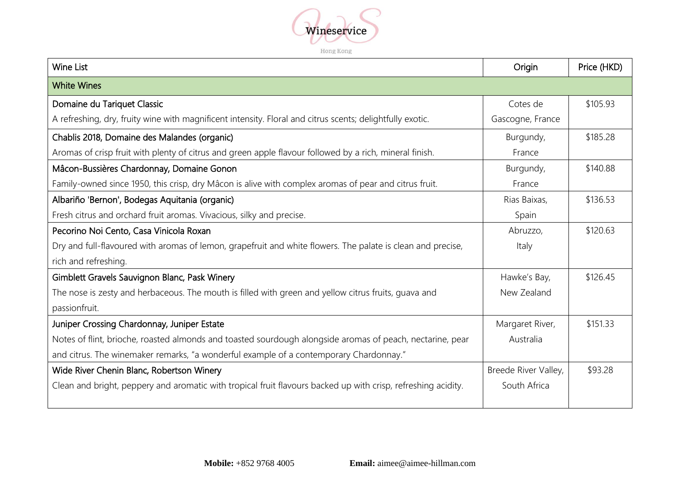

Hong Kong

| <b>Wine List</b>                                                                                              | Origin               | Price (HKD) |
|---------------------------------------------------------------------------------------------------------------|----------------------|-------------|
| <b>White Wines</b>                                                                                            |                      |             |
| Domaine du Tariquet Classic                                                                                   | Cotes de             | \$105.93    |
| A refreshing, dry, fruity wine with magnificent intensity. Floral and citrus scents; delightfully exotic.     | Gascogne, France     |             |
| Chablis 2018, Domaine des Malandes (organic)                                                                  | Burgundy,            | \$185.28    |
| Aromas of crisp fruit with plenty of citrus and green apple flavour followed by a rich, mineral finish.       | France               |             |
| Mâcon-Bussières Chardonnay, Domaine Gonon                                                                     | Burgundy,            | \$140.88    |
| Family-owned since 1950, this crisp, dry Mâcon is alive with complex aromas of pear and citrus fruit.         | France               |             |
| Albariño 'Bernon', Bodegas Aquitania (organic)                                                                | Rias Baixas,         | \$136.53    |
| Fresh citrus and orchard fruit aromas. Vivacious, silky and precise.                                          | Spain                |             |
| Pecorino Noi Cento, Casa Vinicola Roxan                                                                       | Abruzzo,             | \$120.63    |
| Dry and full-flavoured with aromas of lemon, grapefruit and white flowers. The palate is clean and precise,   | Italy                |             |
| rich and refreshing.                                                                                          |                      |             |
| Gimblett Gravels Sauvignon Blanc, Pask Winery                                                                 | Hawke's Bay,         | \$126.45    |
| The nose is zesty and herbaceous. The mouth is filled with green and yellow citrus fruits, guava and          | New Zealand          |             |
| passionfruit.                                                                                                 |                      |             |
| Juniper Crossing Chardonnay, Juniper Estate                                                                   | Margaret River,      | \$151.33    |
| Notes of flint, brioche, roasted almonds and toasted sourdough alongside aromas of peach, nectarine, pear     | Australia            |             |
| and citrus. The winemaker remarks, "a wonderful example of a contemporary Chardonnay."                        |                      |             |
| Wide River Chenin Blanc, Robertson Winery                                                                     | Breede River Valley, | \$93.28     |
| Clean and bright, peppery and aromatic with tropical fruit flavours backed up with crisp, refreshing acidity. | South Africa         |             |
|                                                                                                               |                      |             |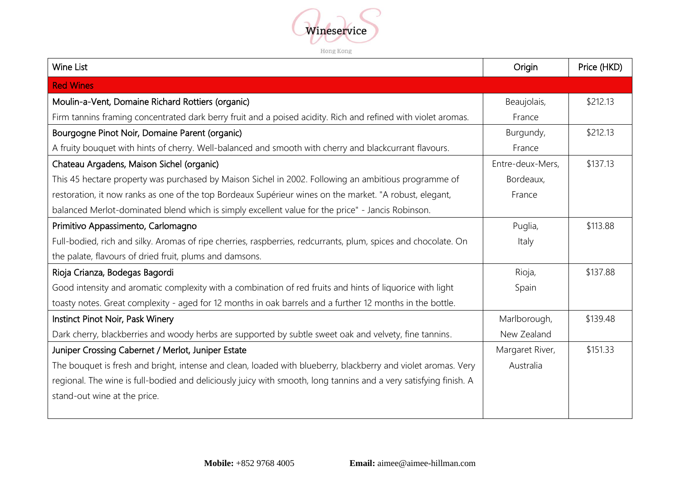

Hong Kong

| Wine List                                                                                                         | Origin           | Price (HKD) |
|-------------------------------------------------------------------------------------------------------------------|------------------|-------------|
| <b>Red Wines</b>                                                                                                  |                  |             |
| Moulin-a-Vent, Domaine Richard Rottiers (organic)                                                                 | Beaujolais,      | \$212.13    |
| Firm tannins framing concentrated dark berry fruit and a poised acidity. Rich and refined with violet aromas.     | France           |             |
| Bourgogne Pinot Noir, Domaine Parent (organic)                                                                    | Burgundy,        | \$212.13    |
| A fruity bouquet with hints of cherry. Well-balanced and smooth with cherry and blackcurrant flavours.            | France           |             |
| Chateau Argadens, Maison Sichel (organic)                                                                         | Entre-deux-Mers, | \$137.13    |
| This 45 hectare property was purchased by Maison Sichel in 2002. Following an ambitious programme of              | Bordeaux,        |             |
| restoration, it now ranks as one of the top Bordeaux Supérieur wines on the market. "A robust, elegant,           | France           |             |
| balanced Merlot-dominated blend which is simply excellent value for the price" - Jancis Robinson.                 |                  |             |
| Primitivo Appassimento, Carlomagno                                                                                | Puglia,          | \$113.88    |
| Full-bodied, rich and silky. Aromas of ripe cherries, raspberries, redcurrants, plum, spices and chocolate. On    | Italy            |             |
| the palate, flavours of dried fruit, plums and damsons.                                                           |                  |             |
| Rioja Crianza, Bodegas Bagordi                                                                                    | Rioja,           | \$137.88    |
| Good intensity and aromatic complexity with a combination of red fruits and hints of liquorice with light         | Spain            |             |
| toasty notes. Great complexity - aged for 12 months in oak barrels and a further 12 months in the bottle.         |                  |             |
| Instinct Pinot Noir, Pask Winery                                                                                  | Marlborough,     | \$139.48    |
| Dark cherry, blackberries and woody herbs are supported by subtle sweet oak and velvety, fine tannins.            | New Zealand      |             |
| Juniper Crossing Cabernet / Merlot, Juniper Estate                                                                | Margaret River,  | \$151.33    |
| The bouquet is fresh and bright, intense and clean, loaded with blueberry, blackberry and violet aromas. Very     | Australia        |             |
| regional. The wine is full-bodied and deliciously juicy with smooth, long tannins and a very satisfying finish. A |                  |             |
| stand-out wine at the price.                                                                                      |                  |             |
|                                                                                                                   |                  |             |